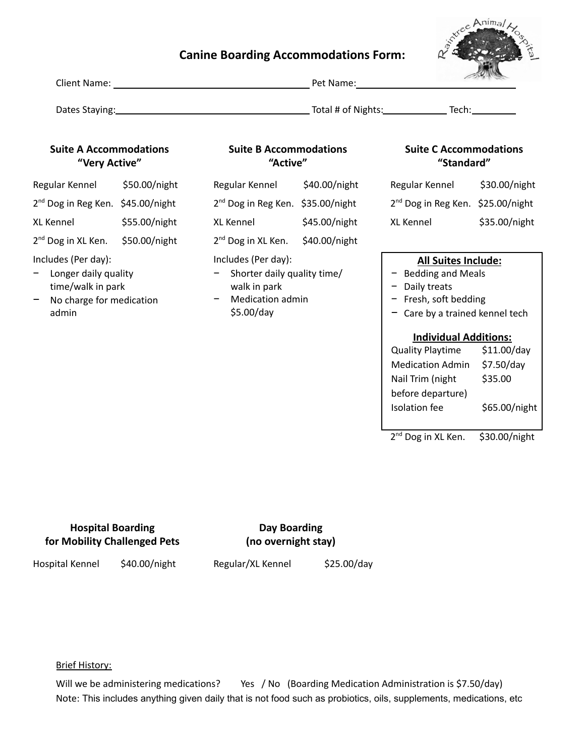# **Canine Boarding Accommodations Form:**



| Client Name:   | Pet Name:          | and the fact of the fact of |
|----------------|--------------------|-----------------------------|
| Dates Staying: | Total # of Nights: | Tech:                       |

## **Suite A Accommodations "Very Active"**

| Regular Kennel                                | \$50.00/night |
|-----------------------------------------------|---------------|
| 2 <sup>nd</sup> Dog in Reg Ken. \$45.00/night |               |
| <b>XL Kennel</b>                              | \$55.00/night |
| 2 <sup>nd</sup> Dog in XL Ken.                | \$50.00/night |
|                                               |               |

#### Includes (Per day):

- − Longer daily quality time/walk in park
- No charge for medication admin

#### **Suite B Accommodations "Active"**

| Regular Kennel                                | \$40.00/night |
|-----------------------------------------------|---------------|
| 2 <sup>nd</sup> Dog in Reg Ken. \$35.00/night |               |
| <b>XL Kennel</b>                              | \$45.00/night |
| 2 <sup>nd</sup> Dog in XL Ken.                | \$40.00/night |
| Includes (Per day):                           |               |

- − Shorter daily quality time/ walk in park
- − Medication admin \$5.00/day

#### **Suite C Accommodations "Standard"**

| Regular Kennel                                | \$30.00/night |
|-----------------------------------------------|---------------|
| 2 <sup>nd</sup> Dog in Reg Ken. \$25.00/night |               |
| <b>XL Kennel</b>                              | \$35.00/night |

#### **All Suites Include:**

- − Bedding and Meals
- − Daily treats
- − Fresh, soft bedding
- − Care by a trained kennel tech

#### **Individual Additions:**

Quality Playtime \$11.00/day Medication Admin \$7.50/day Nail Trim (night before departure) \$35.00 Isolation fee \$65.00/night

2<sup>nd</sup> Dog in XL Ken. \$30.00/night

## **Hospital Boarding for Mobility Challenged Pets**

## **Day Boarding (no overnight stay)**

Hospital Kennel \$40.00/night

Regular/XL Kennel \$25.00/day

### Brief History:

Will we be administering medications? Yes / No (Boarding Medication Administration is \$7.50/day) Note: This includes anything given daily that is not food such as probiotics, oils, supplements, medications, etc